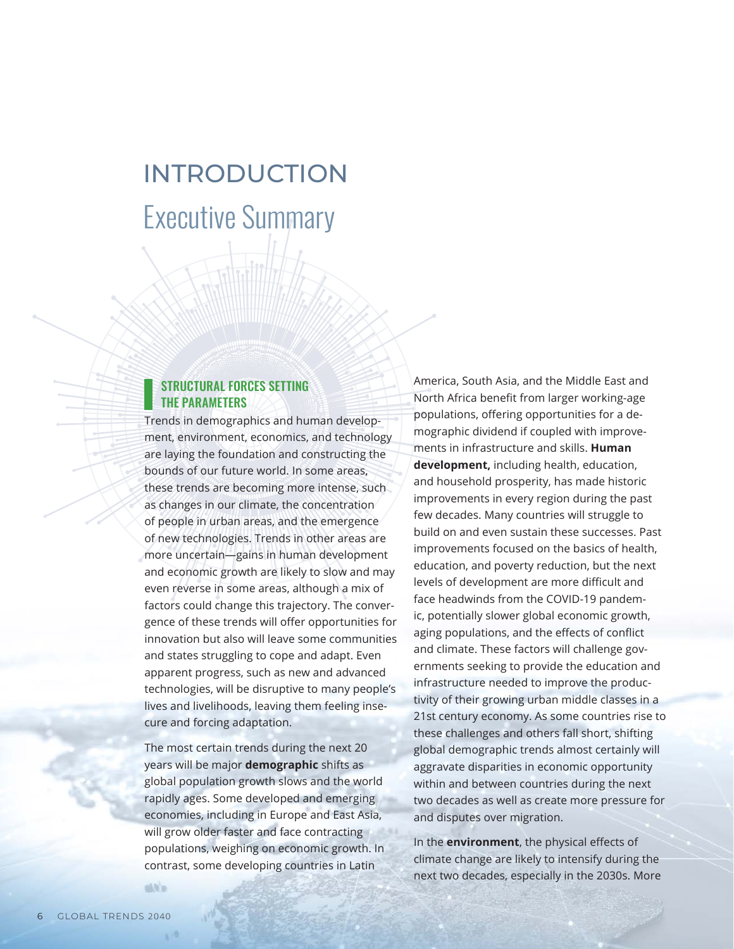## Executive Summary INTRODUCTION

## STRUCTURAL FORCES SETTING THE PARAMETERS

Trends in demographics and human development, environment, economics, and technology are laying the foundation and constructing the bounds of our future world. In some areas, these trends are becoming more intense, such as changes in our climate, the concentration of people in urban areas, and the emergence of new technologies. Trends in other areas are more uncertain—gains in human development and economic growth are likely to slow and may even reverse in some areas, although a mix of factors could change this trajectory. The convergence of these trends will offer opportunities for innovation but also will leave some communities and states struggling to cope and adapt. Even apparent progress, such as new and advanced technologies, will be disruptive to many people's lives and livelihoods, leaving them feeling insecure and forcing adaptation.

The most certain trends during the next 20 years will be major **demographic** shifts as global population growth slows and the world rapidly ages. Some developed and emerging economies, including in Europe and East Asia, will grow older faster and face contracting populations, weighing on economic growth. In contrast, some developing countries in Latin

America, South Asia, and the Middle East and North Africa benefit from larger working-age populations, offering opportunities for a demographic dividend if coupled with improvements in infrastructure and skills. **Human development,** including health, education, and household prosperity, has made historic improvements in every region during the past few decades. Many countries will struggle to build on and even sustain these successes. Past improvements focused on the basics of health, education, and poverty reduction, but the next levels of development are more difficult and face headwinds from the COVID-19 pandemic, potentially slower global economic growth, aging populations, and the effects of conflict and climate. These factors will challenge governments seeking to provide the education and infrastructure needed to improve the productivity of their growing urban middle classes in a 21st century economy. As some countries rise to these challenges and others fall short, shifting global demographic trends almost certainly will aggravate disparities in economic opportunity within and between countries during the next two decades as well as create more pressure for and disputes over migration.

In the **environment**, the physical effects of climate change are likely to intensify during the next two decades, especially in the 2030s. More

dill'a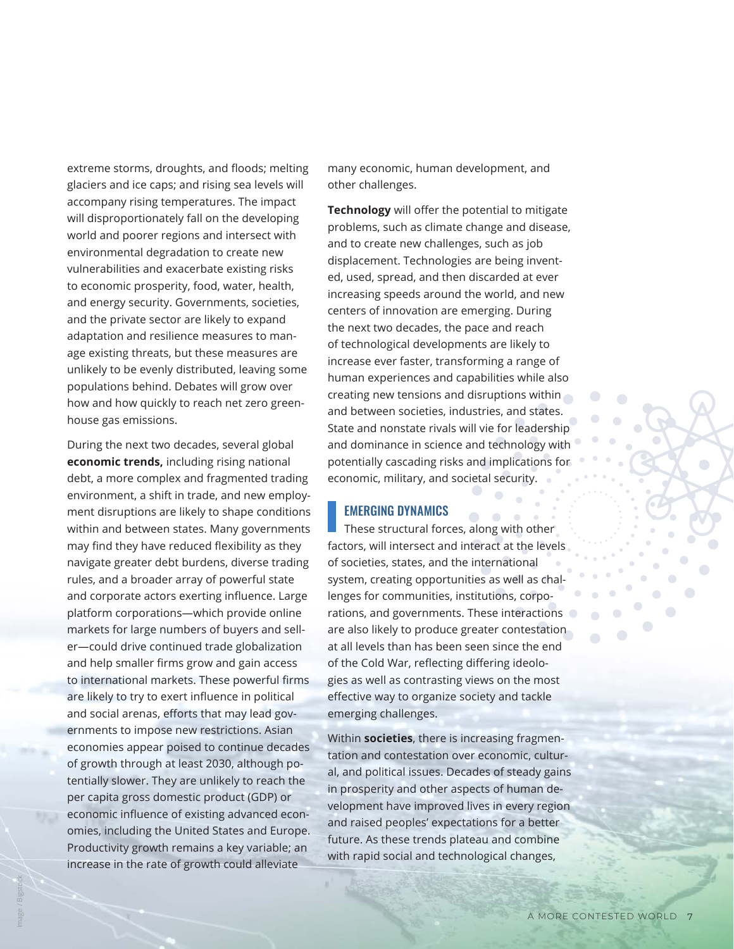extreme storms, droughts, and floods; melting glaciers and ice caps; and rising sea levels will accompany rising temperatures. The impact will disproportionately fall on the developing world and poorer regions and intersect with environmental degradation to create new vulnerabilities and exacerbate existing risks to economic prosperity, food, water, health, and energy security. Governments, societies, and the private sector are likely to expand adaptation and resilience measures to man age existing threats, but these measures are unlikely to be evenly distributed, leaving some populations behind. Debates will grow over how and how quickly to reach net zero green house gas emissions.

During the next two decades, several global **economic trends,** including rising national debt, a more complex and fragmented trading environment, a shift in trade, and new employ ment disruptions are likely to shape conditions within and between states. Many governments may find they have reduced flexibility as they navigate greater debt burdens, diverse trading rules, and a broader array of powerful state and corporate actors exerting influence. Large platform corporations—which provide online markets for large numbers of buyers and sell er—could drive continued trade globalization and help smaller firms grow and gain access to international markets. These powerful firms are likely to try to exert influence in political and social arenas, efforts that may lead gov ernments to impose new restrictions. Asian economies appear poised to continue decades of growth through at least 2030, although po tentially slower. They are unlikely to reach the per capita gross domestic product (GDP) or economic influence of existing advanced econ omies, including the United States and Europe. Productivity growth remains a key variable; an increase in the rate of growth could alleviate

many economic, human development, and other challenges.

**Technology** will offer the potential to mitigate problems, such as climate change and disease, and to create new challenges, such as job displacement. Technologies are being invent ed, used, spread, and then discarded at ever increasing speeds around the world, and new centers of innovation are emerging. During the next two decades, the pace and reach of technological developments are likely to increase ever faster, transforming a range of human experiences and capabilities while also creating new tensions and disruptions within and between societies, industries, and states. State and nonstate rivals will vie for leadership and dominance in science and technology with potentially cascading risks and implications for economic, military, and societal security.

## EMERGING DYNAMICS

These structural forces, along with other factors, will intersect and interact at the levels of societies, states, and the international system, creating opportunities as well as chal lenges for communities, institutions, corpo rations, and governments. These interactions are also likely to produce greater contestation at all levels than has been seen since the end of the Cold War, reflecting differing ideolo gies as well as contrasting views on the most effective way to organize society and tackle emerging challenges.

Within **societies**, there is increasing fragmen tation and contestation over economic, cultur al, and political issues. Decades of steady gains in prosperity and other aspects of human de velopment have improved lives in every region and raised peoples' expectations for a better future. As these trends plateau and combine with rapid social and technological changes,

 $\Box$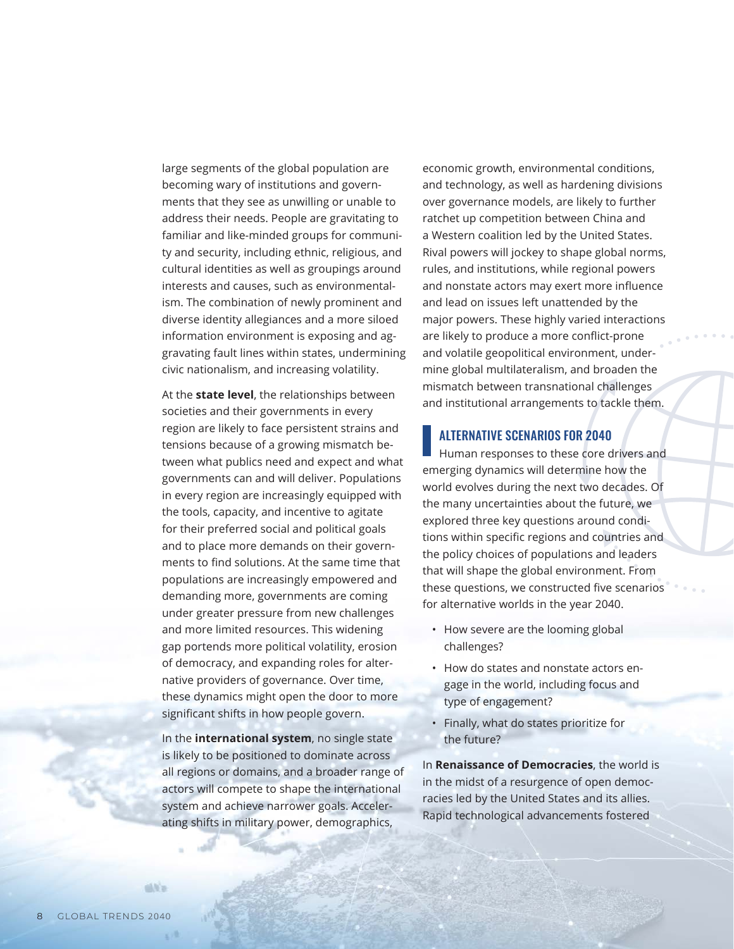large segments of the global population are becoming wary of institutions and governments that they see as unwilling or unable to address their needs. People are gravitating to familiar and like-minded groups for community and security, including ethnic, religious, and cultural identities as well as groupings around interests and causes, such as environmentalism. The combination of newly prominent and diverse identity allegiances and a more siloed information environment is exposing and aggravating fault lines within states, undermining civic nationalism, and increasing volatility.

At the **state level**, the relationships between societies and their governments in every region are likely to face persistent strains and tensions because of a growing mismatch between what publics need and expect and what governments can and will deliver. Populations in every region are increasingly equipped with the tools, capacity, and incentive to agitate for their preferred social and political goals and to place more demands on their governments to find solutions. At the same time that populations are increasingly empowered and demanding more, governments are coming under greater pressure from new challenges and more limited resources. This widening gap portends more political volatility, erosion of democracy, and expanding roles for alternative providers of governance. Over time, these dynamics might open the door to more significant shifts in how people govern.

In the **international system**, no single state is likely to be positioned to dominate across all regions or domains, and a broader range of actors will compete to shape the international system and achieve narrower goals. Accelerating shifts in military power, demographics,

economic growth, environmental conditions, and technology, as well as hardening divisions over governance models, are likely to further ratchet up competition between China and a Western coalition led by the United States. Rival powers will jockey to shape global norms, rules, and institutions, while regional powers and nonstate actors may exert more influence and lead on issues left unattended by the major powers. These highly varied interactions are likely to produce a more conflict-prone and volatile geopolitical environment, undermine global multilateralism, and broaden the mismatch between transnational challenges and institutional arrangements to tackle them.

## ALTERNATIVE SCENARIOS FOR 2040

Human responses to these core drivers and emerging dynamics will determine how the world evolves during the next two decades. Of the many uncertainties about the future, we explored three key questions around conditions within specific regions and countries and the policy choices of populations and leaders that will shape the global environment. From these questions, we constructed five scenarios for alternative worlds in the year 2040.

- How severe are the looming global challenges?
- How do states and nonstate actors engage in the world, including focus and type of engagement?
- Finally, what do states prioritize for the future?

In **Renaissance of Democracies**, the world is in the midst of a resurgence of open democracies led by the United States and its allies. Rapid technological advancements fostered

dill'a